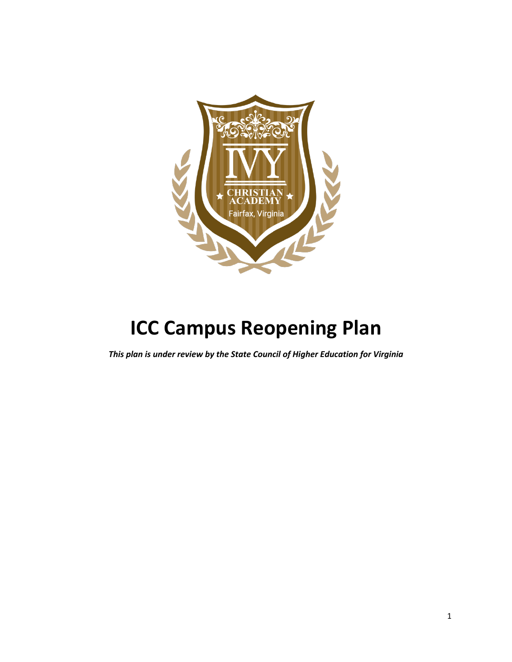

# **ICC Campus Reopening Plan**

*This plan is under review by the State Council of Higher Education for Virginia*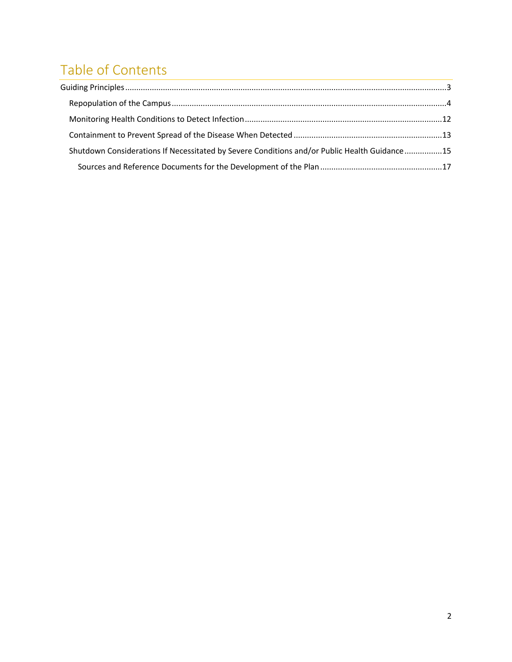## Table of Contents

| Shutdown Considerations If Necessitated by Severe Conditions and/or Public Health Guidance15 |  |
|----------------------------------------------------------------------------------------------|--|
|                                                                                              |  |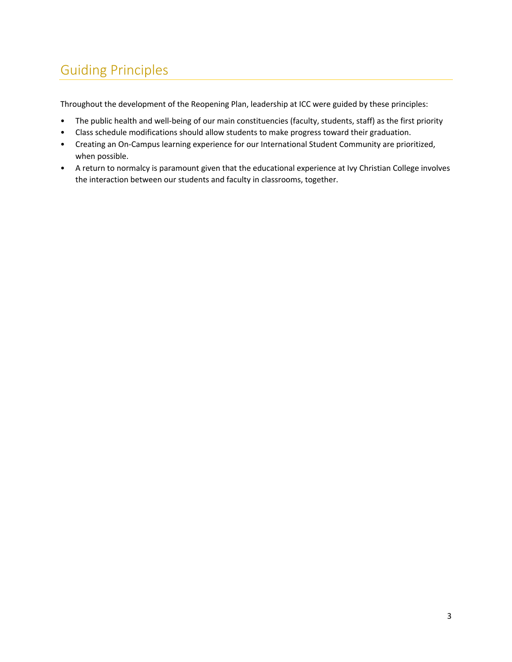## Guiding Principles

Throughout the development of the Reopening Plan, leadership at ICC were guided by these principles:

- The public health and well-being of our main constituencies (faculty, students, staff) as the first priority
- Class schedule modifications should allow students to make progress toward their graduation.
- Creating an On-Campus learning experience for our International Student Community are prioritized, when possible.
- A return to normalcy is paramount given that the educational experience at Ivy Christian College involves the interaction between our students and faculty in classrooms, together.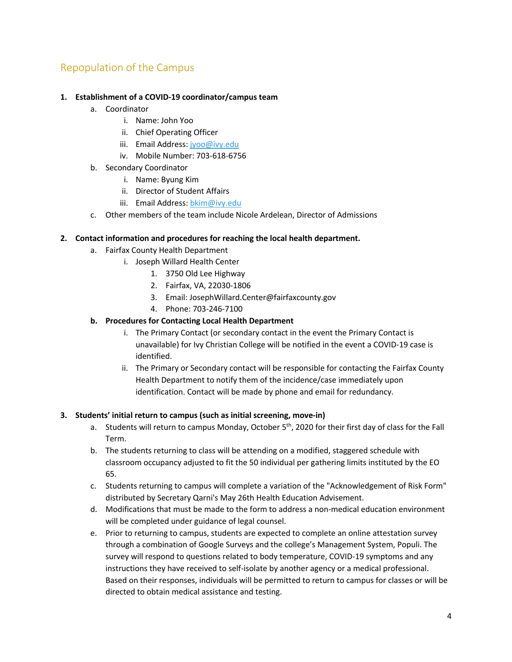## Repopulation of the Campus

#### **1. Establishment of a COVID-19 coordinator/campus team**

- a. Coordinator
	- i. Name: John Yoo
	- ii. Chief Operating Officer
	- iii. Email Address: jyoo@ivy.edu
	- iv. Mobile Number: 703-618-6756
- b. Secondary Coordinator
	- i. Name: Byung Kim
	- ii. Director of Student Affairs
	- iii. Email Address: bkim@ivy.edu
- c. Other members of the team include Nicole Ardelean, Director of Admissions

#### **2. Contact information and procedures for reaching the local health department.**

- a. Fairfax County Health Department
	- i. Joseph Willard Health Center
		- 1. 3750 Old Lee Highway
		- 2. Fairfax, VA, 22030-1806
		- 3. Email: JosephWillard.Center@fairfaxcounty.gov
		- 4. Phone: 703-246-7100

#### **b. Procedures for Contacting Local Health Department**

- i. The Primary Contact (or secondary contact in the event the Primary Contact is unavailable) for Ivy Christian College will be notified in the event a COVID-19 case is identified.
- ii. The Primary or Secondary contact will be responsible for contacting the Fairfax County Health Department to notify them of the incidence/case immediately upon identification. Contact will be made by phone and email for redundancy.

#### **3. Students' initial return to campus (such as initial screening, move-in)**

- a. Students will return to campus Monday, October 5<sup>th</sup>, 2020 for their first day of class for the Fall Term.
- b. The students returning to class will be attending on a modified, staggered schedule with classroom occupancy adjusted to fit the 50 individual per gathering limits instituted by the EO 65.
- c. Students returning to campus will complete a variation of the "Acknowledgement of Risk Form" distributed by Secretary Qarni's May 26th Health Education Advisement.
- d. Modifications that must be made to the form to address a non-medical education environment will be completed under guidance of legal counsel.
- e. Prior to returning to campus, students are expected to complete an online attestation survey through a combination of Google Surveys and the college's Management System, Populi. The survey will respond to questions related to body temperature, COVID-19 symptoms and any instructions they have received to self-isolate by another agency or a medical professional. Based on their responses, individuals will be permitted to return to campus for classes or will be directed to obtain medical assistance and testing.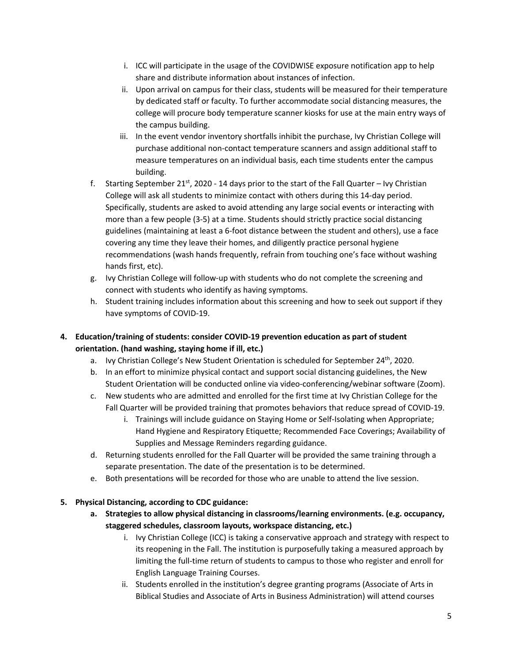- i. ICC will participate in the usage of the COVIDWISE exposure notification app to help share and distribute information about instances of infection.
- ii. Upon arrival on campus for their class, students will be measured for their temperature by dedicated staff or faculty. To further accommodate social distancing measures, the college will procure body temperature scanner kiosks for use at the main entry ways of the campus building.
- iii. In the event vendor inventory shortfalls inhibit the purchase, Ivy Christian College will purchase additional non-contact temperature scanners and assign additional staff to measure temperatures on an individual basis, each time students enter the campus building.
- f. Starting September 21st, 2020 14 days prior to the start of the Fall Quarter Ivy Christian College will ask all students to minimize contact with others during this 14-day period. Specifically, students are asked to avoid attending any large social events or interacting with more than a few people (3-5) at a time. Students should strictly practice social distancing guidelines (maintaining at least a 6-foot distance between the student and others), use a face covering any time they leave their homes, and diligently practice personal hygiene recommendations (wash hands frequently, refrain from touching one's face without washing hands first, etc).
- g. Ivy Christian College will follow-up with students who do not complete the screening and connect with students who identify as having symptoms.
- h. Student training includes information about this screening and how to seek out support if they have symptoms of COVID-19.
- **4. Education/training of students: consider COVID-19 prevention education as part of student orientation. (hand washing, staying home if ill, etc.)**
	- a. Ivy Christian College's New Student Orientation is scheduled for September  $24<sup>th</sup>$ , 2020.
	- b. In an effort to minimize physical contact and support social distancing guidelines, the New Student Orientation will be conducted online via video-conferencing/webinar software (Zoom).
	- c. New students who are admitted and enrolled for the first time at Ivy Christian College for the Fall Quarter will be provided training that promotes behaviors that reduce spread of COVID-19.
		- i. Trainings will include guidance on Staying Home or Self-Isolating when Appropriate; Hand Hygiene and Respiratory Etiquette; Recommended Face Coverings; Availability of Supplies and Message Reminders regarding guidance.
	- d. Returning students enrolled for the Fall Quarter will be provided the same training through a separate presentation. The date of the presentation is to be determined.
	- e. Both presentations will be recorded for those who are unable to attend the live session.

#### **5. Physical Distancing, according to CDC guidance:**

- **a. Strategies to allow physical distancing in classrooms/learning environments. (e.g. occupancy, staggered schedules, classroom layouts, workspace distancing, etc.)**
	- i. Ivy Christian College (ICC) is taking a conservative approach and strategy with respect to its reopening in the Fall. The institution is purposefully taking a measured approach by limiting the full-time return of students to campus to those who register and enroll for English Language Training Courses.
	- ii. Students enrolled in the institution's degree granting programs (Associate of Arts in Biblical Studies and Associate of Arts in Business Administration) will attend courses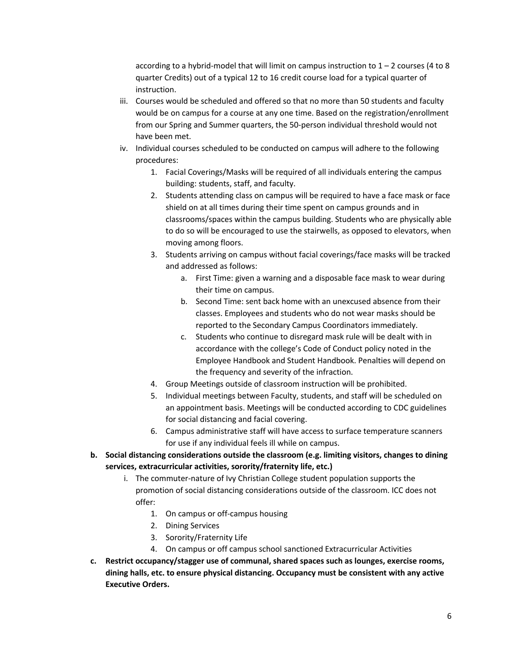according to a hybrid-model that will limit on campus instruction to  $1 - 2$  courses (4 to 8 quarter Credits) out of a typical 12 to 16 credit course load for a typical quarter of instruction.

- iii. Courses would be scheduled and offered so that no more than 50 students and faculty would be on campus for a course at any one time. Based on the registration/enrollment from our Spring and Summer quarters, the 50-person individual threshold would not have been met.
- iv. Individual courses scheduled to be conducted on campus will adhere to the following procedures:
	- 1. Facial Coverings/Masks will be required of all individuals entering the campus building: students, staff, and faculty.
	- 2. Students attending class on campus will be required to have a face mask or face shield on at all times during their time spent on campus grounds and in classrooms/spaces within the campus building. Students who are physically able to do so will be encouraged to use the stairwells, as opposed to elevators, when moving among floors.
	- 3. Students arriving on campus without facial coverings/face masks will be tracked and addressed as follows:
		- a. First Time: given a warning and a disposable face mask to wear during their time on campus.
		- b. Second Time: sent back home with an unexcused absence from their classes. Employees and students who do not wear masks should be reported to the Secondary Campus Coordinators immediately.
		- c. Students who continue to disregard mask rule will be dealt with in accordance with the college's Code of Conduct policy noted in the Employee Handbook and Student Handbook. Penalties will depend on the frequency and severity of the infraction.
	- 4. Group Meetings outside of classroom instruction will be prohibited.
	- 5. Individual meetings between Faculty, students, and staff will be scheduled on an appointment basis. Meetings will be conducted according to CDC guidelines for social distancing and facial covering.
	- 6. Campus administrative staff will have access to surface temperature scanners for use if any individual feels ill while on campus.
- **b. Social distancing considerations outside the classroom (e.g. limiting visitors, changes to dining services, extracurricular activities, sorority/fraternity life, etc.)**
	- i. The commuter-nature of Ivy Christian College student population supports the promotion of social distancing considerations outside of the classroom. ICC does not offer:
		- 1. On campus or off-campus housing
		- 2. Dining Services
		- 3. Sorority/Fraternity Life
		- 4. On campus or off campus school sanctioned Extracurricular Activities
- **c. Restrict occupancy/stagger use of communal, shared spaces such as lounges, exercise rooms, dining halls, etc. to ensure physical distancing. Occupancy must be consistent with any active Executive Orders.**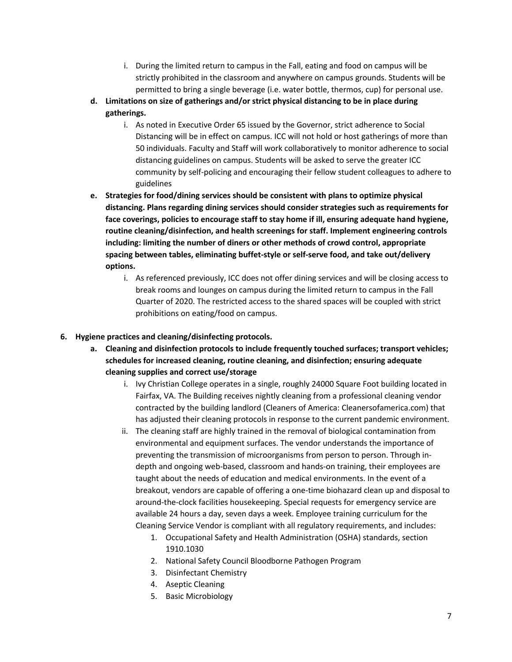- i. During the limited return to campus in the Fall, eating and food on campus will be strictly prohibited in the classroom and anywhere on campus grounds. Students will be permitted to bring a single beverage (i.e. water bottle, thermos, cup) for personal use.
- **d. Limitations on size of gatherings and/or strict physical distancing to be in place during gatherings.**
	- i. As noted in Executive Order 65 issued by the Governor, strict adherence to Social Distancing will be in effect on campus. ICC will not hold or host gatherings of more than 50 individuals. Faculty and Staff will work collaboratively to monitor adherence to social distancing guidelines on campus. Students will be asked to serve the greater ICC community by self-policing and encouraging their fellow student colleagues to adhere to guidelines
- **e. Strategies for food/dining services should be consistent with plans to optimize physical distancing. Plans regarding dining services should consider strategies such as requirements for face coverings, policies to encourage staff to stay home if ill, ensuring adequate hand hygiene, routine cleaning/disinfection, and health screenings for staff. Implement engineering controls including: limiting the number of diners or other methods of crowd control, appropriate spacing between tables, eliminating buffet-style or self-serve food, and take out/delivery options.**
	- i. As referenced previously, ICC does not offer dining services and will be closing access to break rooms and lounges on campus during the limited return to campus in the Fall Quarter of 2020. The restricted access to the shared spaces will be coupled with strict prohibitions on eating/food on campus.

#### **6. Hygiene practices and cleaning/disinfecting protocols.**

- **a. Cleaning and disinfection protocols to include frequently touched surfaces; transport vehicles; schedules for increased cleaning, routine cleaning, and disinfection; ensuring adequate cleaning supplies and correct use/storage**
	- i. Ivy Christian College operates in a single, roughly 24000 Square Foot building located in Fairfax, VA. The Building receives nightly cleaning from a professional cleaning vendor contracted by the building landlord (Cleaners of America: Cleanersofamerica.com) that has adjusted their cleaning protocols in response to the current pandemic environment.
	- ii. The cleaning staff are highly trained in the removal of biological contamination from environmental and equipment surfaces. The vendor understands the importance of preventing the transmission of microorganisms from person to person. Through indepth and ongoing web-based, classroom and hands-on training, their employees are taught about the needs of education and medical environments. In the event of a breakout, vendors are capable of offering a one-time biohazard clean up and disposal to around-the-clock facilities housekeeping. Special requests for emergency service are available 24 hours a day, seven days a week. Employee training curriculum for the Cleaning Service Vendor is compliant with all regulatory requirements, and includes:
		- 1. Occupational Safety and Health Administration (OSHA) standards, section 1910.1030
		- 2. National Safety Council Bloodborne Pathogen Program
		- 3. Disinfectant Chemistry
		- 4. Aseptic Cleaning
		- 5. Basic Microbiology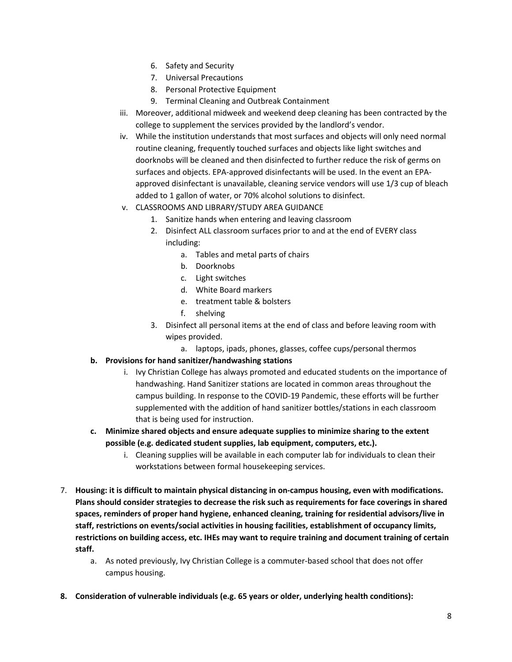- 6. Safety and Security
- 7. Universal Precautions
- 8. Personal Protective Equipment
- 9. Terminal Cleaning and Outbreak Containment
- iii. Moreover, additional midweek and weekend deep cleaning has been contracted by the college to supplement the services provided by the landlord's vendor.
- iv. While the institution understands that most surfaces and objects will only need normal routine cleaning, frequently touched surfaces and objects like light switches and doorknobs will be cleaned and then disinfected to further reduce the risk of germs on surfaces and objects. EPA-approved disinfectants will be used. In the event an EPAapproved disinfectant is unavailable, cleaning service vendors will use 1/3 cup of bleach added to 1 gallon of water, or 70% alcohol solutions to disinfect.
- v. CLASSROOMS AND LIBRARY/STUDY AREA GUIDANCE
	- 1. Sanitize hands when entering and leaving classroom
	- 2. Disinfect ALL classroom surfaces prior to and at the end of EVERY class including:
		- a. Tables and metal parts of chairs
		- b. Doorknobs
		- c. Light switches
		- d. White Board markers
		- e. treatment table & bolsters
		- f. shelving
	- 3. Disinfect all personal items at the end of class and before leaving room with wipes provided.
		- a. laptops, ipads, phones, glasses, coffee cups/personal thermos
- **b. Provisions for hand sanitizer/handwashing stations**
	- i. Ivy Christian College has always promoted and educated students on the importance of handwashing. Hand Sanitizer stations are located in common areas throughout the campus building. In response to the COVID-19 Pandemic, these efforts will be further supplemented with the addition of hand sanitizer bottles/stations in each classroom that is being used for instruction.
- **c. Minimize shared objects and ensure adequate supplies to minimize sharing to the extent possible (e.g. dedicated student supplies, lab equipment, computers, etc.).**
	- i. Cleaning supplies will be available in each computer lab for individuals to clean their workstations between formal housekeeping services.
- 7. **Housing: it is difficult to maintain physical distancing in on-campus housing, even with modifications. Plans should consider strategies to decrease the risk such as requirements for face coverings in shared spaces, reminders of proper hand hygiene, enhanced cleaning, training for residential advisors/live in staff, restrictions on events/social activities in housing facilities, establishment of occupancy limits, restrictions on building access, etc. IHEs may want to require training and document training of certain staff.**
	- a. As noted previously, Ivy Christian College is a commuter-based school that does not offer campus housing.
- **8. Consideration of vulnerable individuals (e.g. 65 years or older, underlying health conditions):**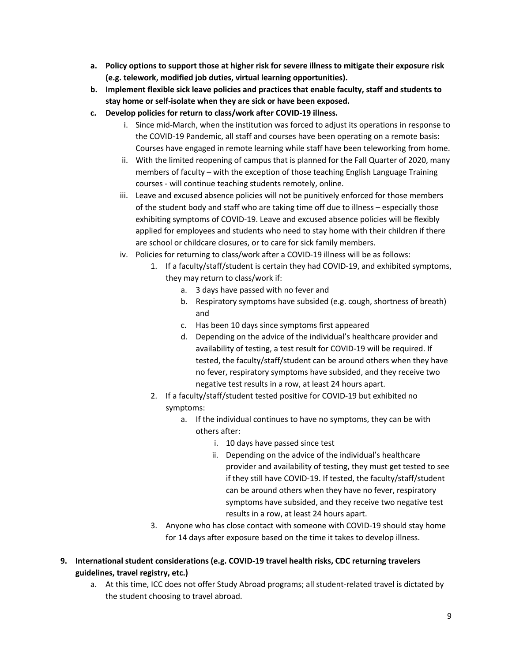- **a. Policy options to support those at higher risk for severe illness to mitigate their exposure risk (e.g. telework, modified job duties, virtual learning opportunities).**
- **b. Implement flexible sick leave policies and practices that enable faculty, staff and students to stay home or self-isolate when they are sick or have been exposed.**
- **c. Develop policies for return to class/work after COVID-19 illness.**
	- i. Since mid-March, when the institution was forced to adjust its operations in response to the COVID-19 Pandemic, all staff and courses have been operating on a remote basis: Courses have engaged in remote learning while staff have been teleworking from home.
	- ii. With the limited reopening of campus that is planned for the Fall Quarter of 2020, many members of faculty – with the exception of those teaching English Language Training courses - will continue teaching students remotely, online.
	- iii. Leave and excused absence policies will not be punitively enforced for those members of the student body and staff who are taking time off due to illness – especially those exhibiting symptoms of COVID-19. Leave and excused absence policies will be flexibly applied for employees and students who need to stay home with their children if there are school or childcare closures, or to care for sick family members.
	- iv. Policies for returning to class/work after a COVID-19 illness will be as follows:
		- 1. If a faculty/staff/student is certain they had COVID-19, and exhibited symptoms, they may return to class/work if:
			- a. 3 days have passed with no fever and
			- b. Respiratory symptoms have subsided (e.g. cough, shortness of breath) and
			- c. Has been 10 days since symptoms first appeared
			- d. Depending on the advice of the individual's healthcare provider and availability of testing, a test result for COVID-19 will be required. If tested, the faculty/staff/student can be around others when they have no fever, respiratory symptoms have subsided, and they receive two negative test results in a row, at least 24 hours apart.
		- 2. If a faculty/staff/student tested positive for COVID-19 but exhibited no symptoms:
			- a. If the individual continues to have no symptoms, they can be with others after:
				- i. 10 days have passed since test
				- ii. Depending on the advice of the individual's healthcare provider and availability of testing, they must get tested to see if they still have COVID-19. If tested, the faculty/staff/student can be around others when they have no fever, respiratory symptoms have subsided, and they receive two negative test results in a row, at least 24 hours apart.
		- 3. Anyone who has close contact with someone with COVID-19 should stay home for 14 days after exposure based on the time it takes to develop illness.
- **9. International student considerations (e.g. COVID-19 travel health risks, CDC returning travelers guidelines, travel registry, etc.)**
	- a. At this time, ICC does not offer Study Abroad programs; all student-related travel is dictated by the student choosing to travel abroad.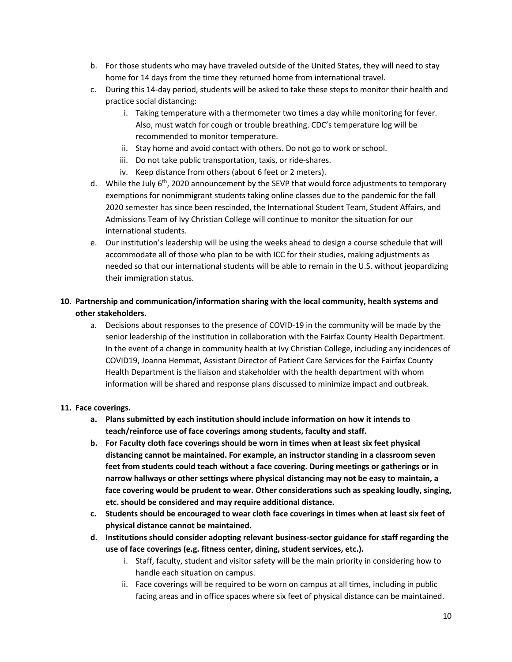- b. For those students who may have traveled outside of the United States, they will need to stay home for 14 days from the time they returned home from international travel.
- c. During this 14-day period, students will be asked to take these steps to monitor their health and practice social distancing:
	- i. Taking temperature with a thermometer two times a day while monitoring for fever. Also, must watch for cough or trouble breathing. CDC's temperature log will be recommended to monitor temperature.
	- ii. Stay home and avoid contact with others. Do not go to work or school.
	- iii. Do not take public transportation, taxis, or ride-shares.
	- iv. Keep distance from others (about 6 feet or 2 meters).
- d. While the July 6<sup>th</sup>, 2020 announcement by the SEVP that would force adjustments to temporary exemptions for nonimmigrant students taking online classes due to the pandemic for the fall 2020 semester has since been rescinded, the International Student Team, Student Affairs, and Admissions Team of Ivy Christian College will continue to monitor the situation for our international students.
- e. Our institution's leadership will be using the weeks ahead to design a course schedule that will accommodate all of those who plan to be with ICC for their studies, making adjustments as needed so that our international students will be able to remain in the U.S. without jeopardizing their immigration status.

#### **10. Partnership and communication/information sharing with the local community, health systems and other stakeholders.**

a. Decisions about responses to the presence of COVID-19 in the community will be made by the senior leadership of the institution in collaboration with the Fairfax County Health Department. In the event of a change in community health at Ivy Christian College, including any incidences of COVID19, Joanna Hemmat, Assistant Director of Patient Care Services for the Fairfax County Health Department is the liaison and stakeholder with the health department with whom information will be shared and response plans discussed to minimize impact and outbreak.

#### **11. Face coverings.**

- **a. Plans submitted by each institution should include information on how it intends to teach/reinforce use of face coverings among students, faculty and staff.**
- **b. For Faculty cloth face coverings should be worn in times when at least six feet physical distancing cannot be maintained. For example, an instructor standing in a classroom seven feet from students could teach without a face covering. During meetings or gatherings or in narrow hallways or other settings where physical distancing may not be easy to maintain, a face covering would be prudent to wear. Other considerations such as speaking loudly, singing, etc. should be considered and may require additional distance.**
- **c. Students should be encouraged to wear cloth face coverings in times when at least six feet of physical distance cannot be maintained.**
- **d. Institutions should consider adopting relevant business-sector guidance for staff regarding the use of face coverings (e.g. fitness center, dining, student services, etc.).** 
	- i. Staff, faculty, student and visitor safety will be the main priority in considering how to handle each situation on campus.
	- ii. Face coverings will be required to be worn on campus at all times, including in public facing areas and in office spaces where six feet of physical distance can be maintained.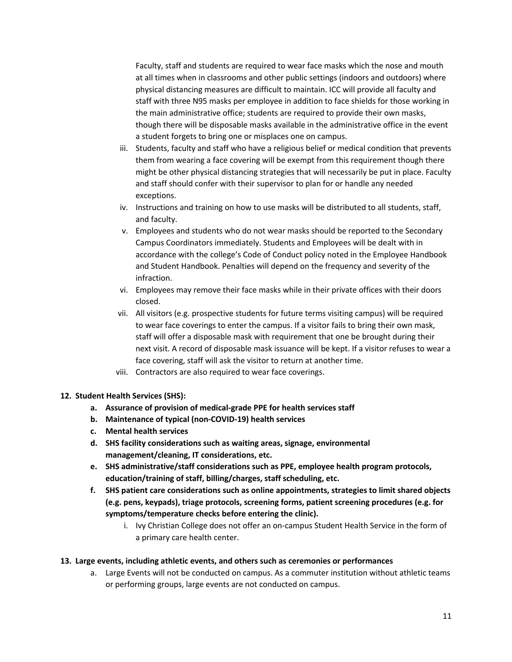Faculty, staff and students are required to wear face masks which the nose and mouth at all times when in classrooms and other public settings (indoors and outdoors) where physical distancing measures are difficult to maintain. ICC will provide all faculty and staff with three N95 masks per employee in addition to face shields for those working in the main administrative office; students are required to provide their own masks, though there will be disposable masks available in the administrative office in the event a student forgets to bring one or misplaces one on campus.

- iii. Students, faculty and staff who have a religious belief or medical condition that prevents them from wearing a face covering will be exempt from this requirement though there might be other physical distancing strategies that will necessarily be put in place. Faculty and staff should confer with their supervisor to plan for or handle any needed exceptions.
- iv. Instructions and training on how to use masks will be distributed to all students, staff, and faculty.
- v. Employees and students who do not wear masks should be reported to the Secondary Campus Coordinators immediately. Students and Employees will be dealt with in accordance with the college's Code of Conduct policy noted in the Employee Handbook and Student Handbook. Penalties will depend on the frequency and severity of the infraction.
- vi. Employees may remove their face masks while in their private offices with their doors closed.
- vii. All visitors (e.g. prospective students for future terms visiting campus) will be required to wear face coverings to enter the campus. If a visitor fails to bring their own mask, staff will offer a disposable mask with requirement that one be brought during their next visit. A record of disposable mask issuance will be kept. If a visitor refuses to wear a face covering, staff will ask the visitor to return at another time.
- viii. Contractors are also required to wear face coverings.

#### **12. Student Health Services (SHS):**

- **a. Assurance of provision of medical-grade PPE for health services staff**
- **b. Maintenance of typical (non-COVID-19) health services**
- **c. Mental health services**
- **d. SHS facility considerations such as waiting areas, signage, environmental management/cleaning, IT considerations, etc.**
- **e. SHS administrative/staff considerations such as PPE, employee health program protocols, education/training of staff, billing/charges, staff scheduling, etc.**
- **f. SHS patient care considerations such as online appointments, strategies to limit shared objects (e.g. pens, keypads), triage protocols, screening forms, patient screening procedures (e.g. for symptoms/temperature checks before entering the clinic).**
	- i. Ivy Christian College does not offer an on-campus Student Health Service in the form of a primary care health center.

#### **13. Large events, including athletic events, and others such as ceremonies or performances**

a. Large Events will not be conducted on campus. As a commuter institution without athletic teams or performing groups, large events are not conducted on campus.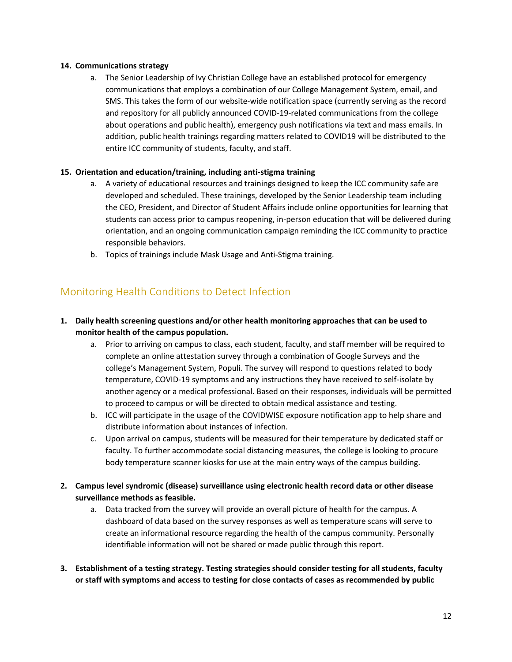#### **14. Communications strategy**

a. The Senior Leadership of Ivy Christian College have an established protocol for emergency communications that employs a combination of our College Management System, email, and SMS. This takes the form of our website-wide notification space (currently serving as the record and repository for all publicly announced COVID-19-related communications from the college about operations and public health), emergency push notifications via text and mass emails. In addition, public health trainings regarding matters related to COVID19 will be distributed to the entire ICC community of students, faculty, and staff.

#### **15. Orientation and education/training, including anti-stigma training**

- a. A variety of educational resources and trainings designed to keep the ICC community safe are developed and scheduled. These trainings, developed by the Senior Leadership team including the CEO, President, and Director of Student Affairs include online opportunities for learning that students can access prior to campus reopening, in-person education that will be delivered during orientation, and an ongoing communication campaign reminding the ICC community to practice responsible behaviors.
- b. Topics of trainings include Mask Usage and Anti-Stigma training.

### Monitoring Health Conditions to Detect Infection

#### **1. Daily health screening questions and/or other health monitoring approaches that can be used to monitor health of the campus population.**

- a. Prior to arriving on campus to class, each student, faculty, and staff member will be required to complete an online attestation survey through a combination of Google Surveys and the college's Management System, Populi. The survey will respond to questions related to body temperature, COVID-19 symptoms and any instructions they have received to self-isolate by another agency or a medical professional. Based on their responses, individuals will be permitted to proceed to campus or will be directed to obtain medical assistance and testing.
- b. ICC will participate in the usage of the COVIDWISE exposure notification app to help share and distribute information about instances of infection.
- c. Upon arrival on campus, students will be measured for their temperature by dedicated staff or faculty. To further accommodate social distancing measures, the college is looking to procure body temperature scanner kiosks for use at the main entry ways of the campus building.
- **2. Campus level syndromic (disease) surveillance using electronic health record data or other disease surveillance methods as feasible.**
	- a. Data tracked from the survey will provide an overall picture of health for the campus. A dashboard of data based on the survey responses as well as temperature scans will serve to create an informational resource regarding the health of the campus community. Personally identifiable information will not be shared or made public through this report.
- **3. Establishment of a testing strategy. Testing strategies should consider testing for all students, faculty or staff with symptoms and access to testing for close contacts of cases as recommended by public**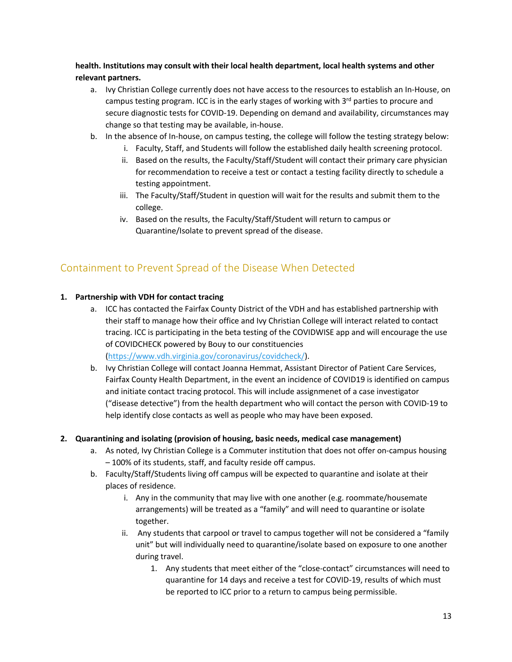**health. Institutions may consult with their local health department, local health systems and other relevant partners.**

- a. Ivy Christian College currently does not have access to the resources to establish an In-House, on campus testing program. ICC is in the early stages of working with  $3<sup>rd</sup>$  parties to procure and secure diagnostic tests for COVID-19. Depending on demand and availability, circumstances may change so that testing may be available, in-house.
- b. In the absence of In-house, on campus testing, the college will follow the testing strategy below:
	- i. Faculty, Staff, and Students will follow the established daily health screening protocol.
	- ii. Based on the results, the Faculty/Staff/Student will contact their primary care physician for recommendation to receive a test or contact a testing facility directly to schedule a testing appointment.
	- iii. The Faculty/Staff/Student in question will wait for the results and submit them to the college.
	- iv. Based on the results, the Faculty/Staff/Student will return to campus or Quarantine/Isolate to prevent spread of the disease.

### Containment to Prevent Spread of the Disease When Detected

#### **1. Partnership with VDH for contact tracing**

- a. ICC has contacted the Fairfax County District of the VDH and has established partnership with their staff to manage how their office and Ivy Christian College will interact related to contact tracing. ICC is participating in the beta testing of the COVIDWISE app and will encourage the use of COVIDCHECK powered by Bouy to our constituencies (https://www.vdh.virginia.gov/coronavirus/covidcheck/).
- b. Ivy Christian College will contact Joanna Hemmat, Assistant Director of Patient Care Services, Fairfax County Health Department, in the event an incidence of COVID19 is identified on campus and initiate contact tracing protocol. This will include assignmenet of a case investigator ("disease detective") from the health department who will contact the person with COVID-19 to help identify close contacts as well as people who may have been exposed.

#### **2. Quarantining and isolating (provision of housing, basic needs, medical case management)**

- a. As noted, Ivy Christian College is a Commuter institution that does not offer on-campus housing – 100% of its students, staff, and faculty reside off campus.
- b. Faculty/Staff/Students living off campus will be expected to quarantine and isolate at their places of residence.
	- i. Any in the community that may live with one another (e.g. roommate/housemate arrangements) will be treated as a "family" and will need to quarantine or isolate together.
	- ii. Any students that carpool or travel to campus together will not be considered a "family unit" but will individually need to quarantine/isolate based on exposure to one another during travel.
		- 1. Any students that meet either of the "close-contact" circumstances will need to quarantine for 14 days and receive a test for COVID-19, results of which must be reported to ICC prior to a return to campus being permissible.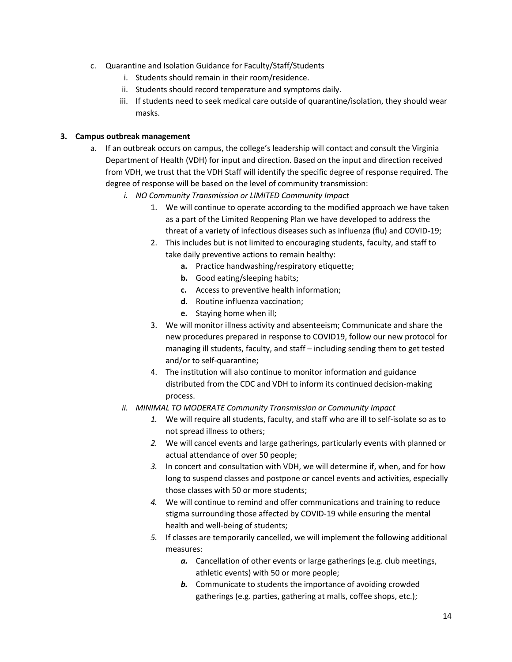- c. Quarantine and Isolation Guidance for Faculty/Staff/Students
	- i. Students should remain in their room/residence.
	- ii. Students should record temperature and symptoms daily.
	- iii. If students need to seek medical care outside of quarantine/isolation, they should wear masks.

#### **3. Campus outbreak management**

- a. If an outbreak occurs on campus, the college's leadership will contact and consult the Virginia Department of Health (VDH) for input and direction. Based on the input and direction received from VDH, we trust that the VDH Staff will identify the specific degree of response required. The degree of response will be based on the level of community transmission:
	- *i. NO Community Transmission or LIMITED Community Impact* 
		- 1. We will continue to operate according to the modified approach we have taken as a part of the Limited Reopening Plan we have developed to address the threat of a variety of infectious diseases such as influenza (flu) and COVID-19;
		- 2. This includes but is not limited to encouraging students, faculty, and staff to take daily preventive actions to remain healthy:
			- **a.** Practice handwashing/respiratory etiquette;
			- **b.** Good eating/sleeping habits;
			- **c.** Access to preventive health information;
			- **d.** Routine influenza vaccination;
			- **e.** Staying home when ill;
		- 3. We will monitor illness activity and absenteeism; Communicate and share the new procedures prepared in response to COVID19, follow our new protocol for managing ill students, faculty, and staff – including sending them to get tested and/or to self-quarantine;
		- 4. The institution will also continue to monitor information and guidance distributed from the CDC and VDH to inform its continued decision-making process.
	- *ii. MINIMAL TO MODERATE Community Transmission or Community Impact*
		- *1.* We will require all students, faculty, and staff who are ill to self-isolate so as to not spread illness to others;
		- *2.* We will cancel events and large gatherings, particularly events with planned or actual attendance of over 50 people;
		- *3.* In concert and consultation with VDH, we will determine if, when, and for how long to suspend classes and postpone or cancel events and activities, especially those classes with 50 or more students;
		- *4.* We will continue to remind and offer communications and training to reduce stigma surrounding those affected by COVID-19 while ensuring the mental health and well-being of students;
		- *5.* If classes are temporarily cancelled, we will implement the following additional measures:
			- *a.* Cancellation of other events or large gatherings (e.g. club meetings, athletic events) with 50 or more people;
			- *b.* Communicate to students the importance of avoiding crowded gatherings (e.g. parties, gathering at malls, coffee shops, etc.);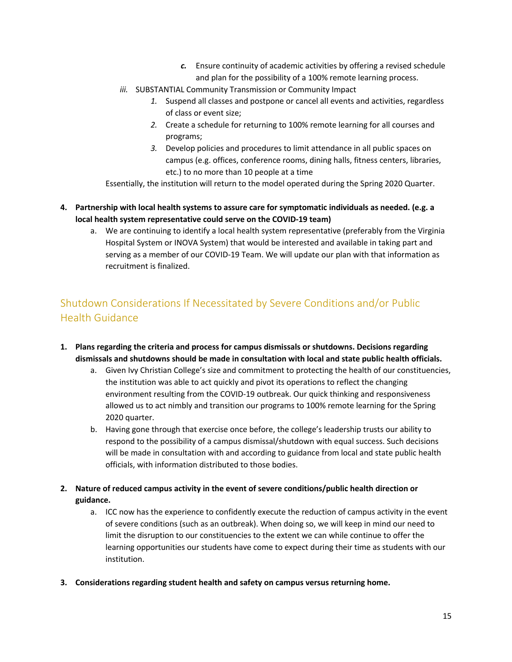- *c.* Ensure continuity of academic activities by offering a revised schedule and plan for the possibility of a 100% remote learning process.
- *iii.* SUBSTANTIAL Community Transmission or Community Impact
	- *1.* Suspend all classes and postpone or cancel all events and activities, regardless of class or event size;
	- *2.* Create a schedule for returning to 100% remote learning for all courses and programs;
	- *3.* Develop policies and procedures to limit attendance in all public spaces on campus (e.g. offices, conference rooms, dining halls, fitness centers, libraries, etc.) to no more than 10 people at a time

Essentially, the institution will return to the model operated during the Spring 2020 Quarter.

- **4. Partnership with local health systems to assure care for symptomatic individuals as needed. (e.g. a local health system representative could serve on the COVID-19 team)**
	- a. We are continuing to identify a local health system representative (preferably from the Virginia Hospital System or INOVA System) that would be interested and available in taking part and serving as a member of our COVID-19 Team. We will update our plan with that information as recruitment is finalized.

## Shutdown Considerations If Necessitated by Severe Conditions and/or Public Health Guidance

- **1. Plans regarding the criteria and process for campus dismissals or shutdowns. Decisions regarding dismissals and shutdowns should be made in consultation with local and state public health officials.**
	- a. Given Ivy Christian College's size and commitment to protecting the health of our constituencies, the institution was able to act quickly and pivot its operations to reflect the changing environment resulting from the COVID-19 outbreak. Our quick thinking and responsiveness allowed us to act nimbly and transition our programs to 100% remote learning for the Spring 2020 quarter.
	- b. Having gone through that exercise once before, the college's leadership trusts our ability to respond to the possibility of a campus dismissal/shutdown with equal success. Such decisions will be made in consultation with and according to guidance from local and state public health officials, with information distributed to those bodies.
- **2. Nature of reduced campus activity in the event of severe conditions/public health direction or guidance.**
	- a. ICC now has the experience to confidently execute the reduction of campus activity in the event of severe conditions (such as an outbreak). When doing so, we will keep in mind our need to limit the disruption to our constituencies to the extent we can while continue to offer the learning opportunities our students have come to expect during their time as students with our institution.
- **3. Considerations regarding student health and safety on campus versus returning home.**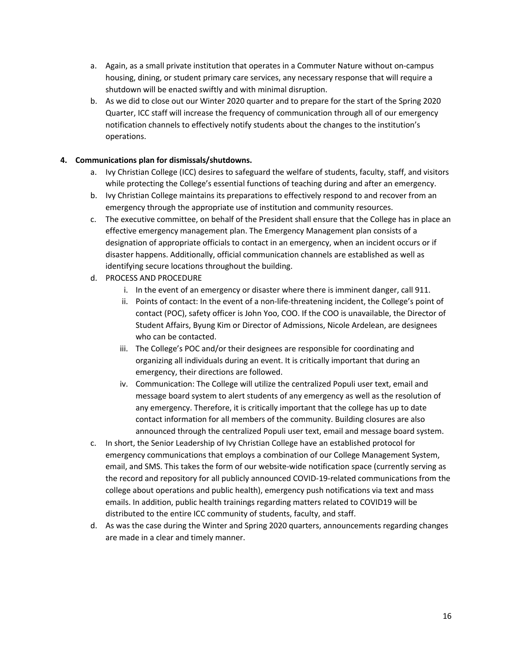- a. Again, as a small private institution that operates in a Commuter Nature without on-campus housing, dining, or student primary care services, any necessary response that will require a shutdown will be enacted swiftly and with minimal disruption.
- b. As we did to close out our Winter 2020 quarter and to prepare for the start of the Spring 2020 Quarter, ICC staff will increase the frequency of communication through all of our emergency notification channels to effectively notify students about the changes to the institution's operations.

#### **4. Communications plan for dismissals/shutdowns.**

- a. Ivy Christian College (ICC) desires to safeguard the welfare of students, faculty, staff, and visitors while protecting the College's essential functions of teaching during and after an emergency.
- b. Ivy Christian College maintains its preparations to effectively respond to and recover from an emergency through the appropriate use of institution and community resources.
- c. The executive committee, on behalf of the President shall ensure that the College has in place an effective emergency management plan. The Emergency Management plan consists of a designation of appropriate officials to contact in an emergency, when an incident occurs or if disaster happens. Additionally, official communication channels are established as well as identifying secure locations throughout the building.
- d. PROCESS AND PROCEDURE
	- i. In the event of an emergency or disaster where there is imminent danger, call 911.
	- ii. Points of contact: In the event of a non-life-threatening incident, the College's point of contact (POC), safety officer is John Yoo, COO. If the COO is unavailable, the Director of Student Affairs, Byung Kim or Director of Admissions, Nicole Ardelean, are designees who can be contacted.
	- iii. The College's POC and/or their designees are responsible for coordinating and organizing all individuals during an event. It is critically important that during an emergency, their directions are followed.
	- iv. Communication: The College will utilize the centralized Populi user text, email and message board system to alert students of any emergency as well as the resolution of any emergency. Therefore, it is critically important that the college has up to date contact information for all members of the community. Building closures are also announced through the centralized Populi user text, email and message board system.
- c. In short, the Senior Leadership of Ivy Christian College have an established protocol for emergency communications that employs a combination of our College Management System, email, and SMS. This takes the form of our website-wide notification space (currently serving as the record and repository for all publicly announced COVID-19-related communications from the college about operations and public health), emergency push notifications via text and mass emails. In addition, public health trainings regarding matters related to COVID19 will be distributed to the entire ICC community of students, faculty, and staff.
- d. As was the case during the Winter and Spring 2020 quarters, announcements regarding changes are made in a clear and timely manner.